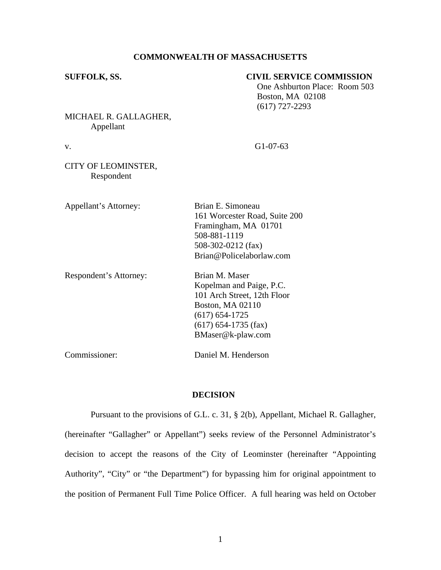## **COMMONWEALTH OF MASSACHUSETTS**

## **SUFFOLK, SS. CIVIL SERVICE COMMISSION**

 One Ashburton Place: Room 503 Boston, MA 02108 (617) 727-2293

MICHAEL R. GALLAGHER, Appellant

v. G1-07-63

## CITY OF LEOMINSTER, Respondent

| Appellant's Attorney:  | Brian E. Simoneau<br>161 Worcester Road, Suite 200<br>Framingham, MA 01701<br>508-881-1119<br>508-302-0212 $(fax)$<br>Brian@Policelaborlaw.com                            |
|------------------------|---------------------------------------------------------------------------------------------------------------------------------------------------------------------------|
| Respondent's Attorney: | Brian M. Maser<br>Kopelman and Paige, P.C.<br>101 Arch Street, 12th Floor<br><b>Boston, MA 02110</b><br>$(617) 654 - 1725$<br>$(617)$ 654-1735 (fax)<br>BMaser@k-plaw.com |
| Commissioner:          | Daniel M. Henderson                                                                                                                                                       |

# **DECISION**

Pursuant to the provisions of G.L. c. 31, § 2(b), Appellant, Michael R. Gallagher, (hereinafter "Gallagher" or Appellant") seeks review of the Personnel Administrator's decision to accept the reasons of the City of Leominster (hereinafter "Appointing Authority", "City" or "the Department") for bypassing him for original appointment to the position of Permanent Full Time Police Officer. A full hearing was held on October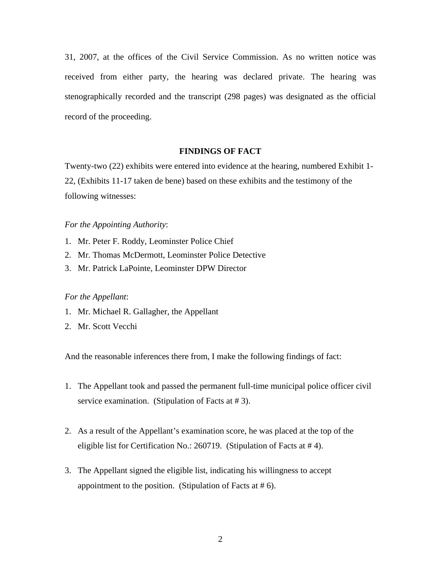31, 2007, at the offices of the Civil Service Commission. As no written notice was received from either party, the hearing was declared private. The hearing was stenographically recorded and the transcript (298 pages) was designated as the official record of the proceeding.

## **FINDINGS OF FACT**

Twenty-two (22) exhibits were entered into evidence at the hearing, numbered Exhibit 1- 22, (Exhibits 11-17 taken de bene) based on these exhibits and the testimony of the following witnesses:

#### *For the Appointing Authority*:

- 1. Mr. Peter F. Roddy, Leominster Police Chief
- 2. Mr. Thomas McDermott, Leominster Police Detective
- 3. Mr. Patrick LaPointe, Leominster DPW Director

#### *For the Appellant*:

- 1. Mr. Michael R. Gallagher, the Appellant
- 2. Mr. Scott Vecchi

And the reasonable inferences there from, I make the following findings of fact:

- 1. The Appellant took and passed the permanent full-time municipal police officer civil service examination. (Stipulation of Facts at #3).
- 2. As a result of the Appellant's examination score, he was placed at the top of the eligible list for Certification No.: 260719. (Stipulation of Facts at # 4).
- 3. The Appellant signed the eligible list, indicating his willingness to accept appointment to the position. (Stipulation of Facts at  $# 6$ ).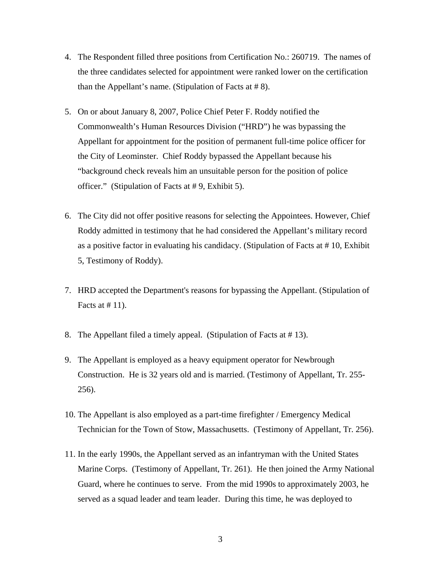- 4. The Respondent filled three positions from Certification No.: 260719. The names of the three candidates selected for appointment were ranked lower on the certification than the Appellant's name. (Stipulation of Facts at  $# 8$ ).
- 5. On or about January 8, 2007, Police Chief Peter F. Roddy notified the Commonwealth's Human Resources Division ("HRD") he was bypassing the Appellant for appointment for the position of permanent full-time police officer for the City of Leominster. Chief Roddy bypassed the Appellant because his "background check reveals him an unsuitable person for the position of police officer." (Stipulation of Facts at # 9, Exhibit 5).
- 6. The City did not offer positive reasons for selecting the Appointees. However, Chief Roddy admitted in testimony that he had considered the Appellant's military record as a positive factor in evaluating his candidacy. (Stipulation of Facts at # 10, Exhibit 5, Testimony of Roddy).
- 7. HRD accepted the Department's reasons for bypassing the Appellant. (Stipulation of Facts at  $# 11$ ).
- 8. The Appellant filed a timely appeal. (Stipulation of Facts at # 13).
- 9. The Appellant is employed as a heavy equipment operator for Newbrough Construction. He is 32 years old and is married. (Testimony of Appellant, Tr. 255- 256).
- 10. The Appellant is also employed as a part-time firefighter / Emergency Medical Technician for the Town of Stow, Massachusetts. (Testimony of Appellant, Tr. 256).
- 11. In the early 1990s, the Appellant served as an infantryman with the United States Marine Corps. (Testimony of Appellant, Tr. 261). He then joined the Army National Guard, where he continues to serve. From the mid 1990s to approximately 2003, he served as a squad leader and team leader. During this time, he was deployed to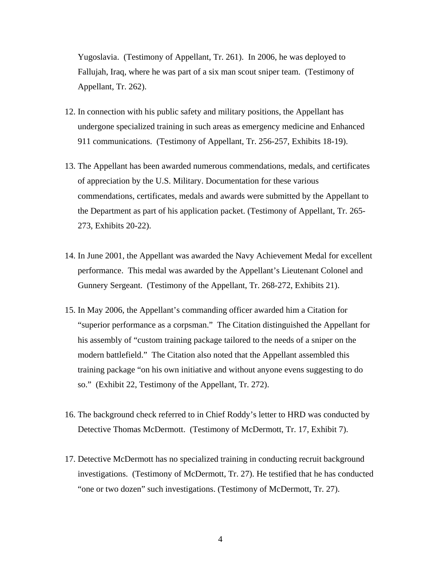Yugoslavia. (Testimony of Appellant, Tr. 261). In 2006, he was deployed to Fallujah, Iraq, where he was part of a six man scout sniper team. (Testimony of Appellant, Tr. 262).

- 12. In connection with his public safety and military positions, the Appellant has undergone specialized training in such areas as emergency medicine and Enhanced 911 communications. (Testimony of Appellant, Tr. 256-257, Exhibits 18-19).
- 13. The Appellant has been awarded numerous commendations, medals, and certificates of appreciation by the U.S. Military. Documentation for these various commendations, certificates, medals and awards were submitted by the Appellant to the Department as part of his application packet. (Testimony of Appellant, Tr. 265- 273, Exhibits 20-22).
- 14. In June 2001, the Appellant was awarded the Navy Achievement Medal for excellent performance. This medal was awarded by the Appellant's Lieutenant Colonel and Gunnery Sergeant. (Testimony of the Appellant, Tr. 268-272, Exhibits 21).
- 15. In May 2006, the Appellant's commanding officer awarded him a Citation for "superior performance as a corpsman." The Citation distinguished the Appellant for his assembly of "custom training package tailored to the needs of a sniper on the modern battlefield." The Citation also noted that the Appellant assembled this training package "on his own initiative and without anyone evens suggesting to do so." (Exhibit 22, Testimony of the Appellant, Tr. 272).
- 16. The background check referred to in Chief Roddy's letter to HRD was conducted by Detective Thomas McDermott. (Testimony of McDermott, Tr. 17, Exhibit 7).
- 17. Detective McDermott has no specialized training in conducting recruit background investigations. (Testimony of McDermott, Tr. 27). He testified that he has conducted "one or two dozen" such investigations. (Testimony of McDermott, Tr. 27).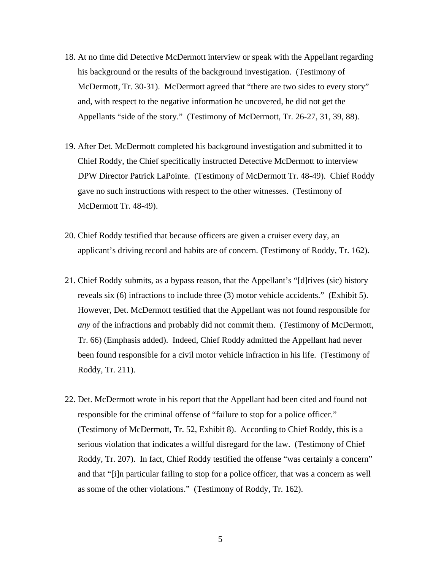- 18. At no time did Detective McDermott interview or speak with the Appellant regarding his background or the results of the background investigation. (Testimony of McDermott, Tr. 30-31). McDermott agreed that "there are two sides to every story" and, with respect to the negative information he uncovered, he did not get the Appellants "side of the story." (Testimony of McDermott, Tr. 26-27, 31, 39, 88).
- 19. After Det. McDermott completed his background investigation and submitted it to Chief Roddy, the Chief specifically instructed Detective McDermott to interview DPW Director Patrick LaPointe. (Testimony of McDermott Tr. 48-49). Chief Roddy gave no such instructions with respect to the other witnesses. (Testimony of McDermott Tr. 48-49).
- 20. Chief Roddy testified that because officers are given a cruiser every day, an applicant's driving record and habits are of concern. (Testimony of Roddy, Tr. 162).
- 21. Chief Roddy submits, as a bypass reason, that the Appellant's "[d]rives (sic) history reveals six (6) infractions to include three (3) motor vehicle accidents." (Exhibit 5). However, Det. McDermott testified that the Appellant was not found responsible for *any* of the infractions and probably did not commit them. (Testimony of McDermott, Tr. 66) (Emphasis added). Indeed, Chief Roddy admitted the Appellant had never been found responsible for a civil motor vehicle infraction in his life. (Testimony of Roddy, Tr. 211).
- 22. Det. McDermott wrote in his report that the Appellant had been cited and found not responsible for the criminal offense of "failure to stop for a police officer." (Testimony of McDermott, Tr. 52, Exhibit 8). According to Chief Roddy, this is a serious violation that indicates a willful disregard for the law. (Testimony of Chief Roddy, Tr. 207). In fact, Chief Roddy testified the offense "was certainly a concern" and that "[i]n particular failing to stop for a police officer, that was a concern as well as some of the other violations." (Testimony of Roddy, Tr. 162).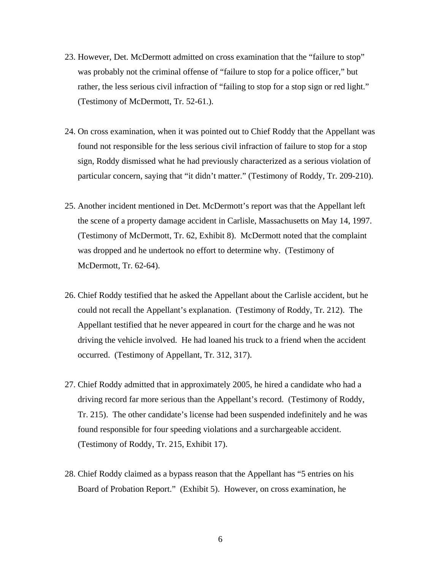- 23. However, Det. McDermott admitted on cross examination that the "failure to stop" was probably not the criminal offense of "failure to stop for a police officer," but rather, the less serious civil infraction of "failing to stop for a stop sign or red light." (Testimony of McDermott, Tr. 52-61.).
- 24. On cross examination, when it was pointed out to Chief Roddy that the Appellant was found not responsible for the less serious civil infraction of failure to stop for a stop sign, Roddy dismissed what he had previously characterized as a serious violation of particular concern, saying that "it didn't matter." (Testimony of Roddy, Tr. 209-210).
- 25. Another incident mentioned in Det. McDermott's report was that the Appellant left the scene of a property damage accident in Carlisle, Massachusetts on May 14, 1997. (Testimony of McDermott, Tr. 62, Exhibit 8). McDermott noted that the complaint was dropped and he undertook no effort to determine why. (Testimony of McDermott, Tr. 62-64).
- 26. Chief Roddy testified that he asked the Appellant about the Carlisle accident, but he could not recall the Appellant's explanation. (Testimony of Roddy, Tr. 212). The Appellant testified that he never appeared in court for the charge and he was not driving the vehicle involved. He had loaned his truck to a friend when the accident occurred. (Testimony of Appellant, Tr. 312, 317).
- 27. Chief Roddy admitted that in approximately 2005, he hired a candidate who had a driving record far more serious than the Appellant's record. (Testimony of Roddy, Tr. 215). The other candidate's license had been suspended indefinitely and he was found responsible for four speeding violations and a surchargeable accident. (Testimony of Roddy, Tr. 215, Exhibit 17).
- 28. Chief Roddy claimed as a bypass reason that the Appellant has "5 entries on his Board of Probation Report." (Exhibit 5). However, on cross examination, he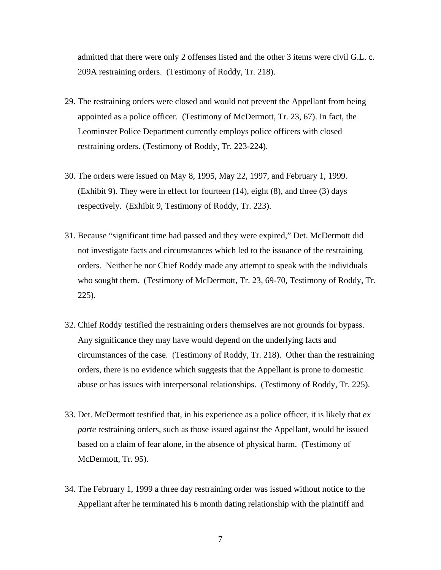admitted that there were only 2 offenses listed and the other 3 items were civil G.L. c. 209A restraining orders. (Testimony of Roddy, Tr. 218).

- 29. The restraining orders were closed and would not prevent the Appellant from being appointed as a police officer. (Testimony of McDermott, Tr. 23, 67). In fact, the Leominster Police Department currently employs police officers with closed restraining orders. (Testimony of Roddy, Tr. 223-224).
- 30. The orders were issued on May 8, 1995, May 22, 1997, and February 1, 1999. (Exhibit 9). They were in effect for fourteen (14), eight (8), and three (3) days respectively. (Exhibit 9, Testimony of Roddy, Tr. 223).
- 31. Because "significant time had passed and they were expired," Det. McDermott did not investigate facts and circumstances which led to the issuance of the restraining orders. Neither he nor Chief Roddy made any attempt to speak with the individuals who sought them. (Testimony of McDermott, Tr. 23, 69-70, Testimony of Roddy, Tr. 225).
- 32. Chief Roddy testified the restraining orders themselves are not grounds for bypass. Any significance they may have would depend on the underlying facts and circumstances of the case. (Testimony of Roddy, Tr. 218). Other than the restraining orders, there is no evidence which suggests that the Appellant is prone to domestic abuse or has issues with interpersonal relationships. (Testimony of Roddy, Tr. 225).
- 33. Det. McDermott testified that, in his experience as a police officer, it is likely that *ex parte* restraining orders, such as those issued against the Appellant, would be issued based on a claim of fear alone, in the absence of physical harm. (Testimony of McDermott, Tr. 95).
- 34. The February 1, 1999 a three day restraining order was issued without notice to the Appellant after he terminated his 6 month dating relationship with the plaintiff and
	- 7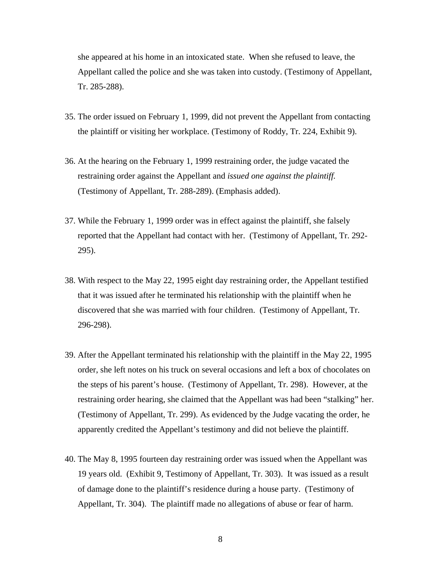she appeared at his home in an intoxicated state. When she refused to leave, the Appellant called the police and she was taken into custody. (Testimony of Appellant, Tr. 285-288).

- 35. The order issued on February 1, 1999, did not prevent the Appellant from contacting the plaintiff or visiting her workplace. (Testimony of Roddy, Tr. 224, Exhibit 9).
- 36. At the hearing on the February 1, 1999 restraining order, the judge vacated the restraining order against the Appellant and *issued one against the plaintiff.*  (Testimony of Appellant, Tr. 288-289). (Emphasis added).
- 37. While the February 1, 1999 order was in effect against the plaintiff, she falsely reported that the Appellant had contact with her. (Testimony of Appellant, Tr. 292- 295).
- 38. With respect to the May 22, 1995 eight day restraining order, the Appellant testified that it was issued after he terminated his relationship with the plaintiff when he discovered that she was married with four children. (Testimony of Appellant, Tr. 296-298).
- 39. After the Appellant terminated his relationship with the plaintiff in the May 22, 1995 order, she left notes on his truck on several occasions and left a box of chocolates on the steps of his parent's house. (Testimony of Appellant, Tr. 298). However, at the restraining order hearing, she claimed that the Appellant was had been "stalking" her. (Testimony of Appellant, Tr. 299). As evidenced by the Judge vacating the order, he apparently credited the Appellant's testimony and did not believe the plaintiff.
- 40. The May 8, 1995 fourteen day restraining order was issued when the Appellant was 19 years old. (Exhibit 9, Testimony of Appellant, Tr. 303). It was issued as a result of damage done to the plaintiff's residence during a house party. (Testimony of Appellant, Tr. 304). The plaintiff made no allegations of abuse or fear of harm.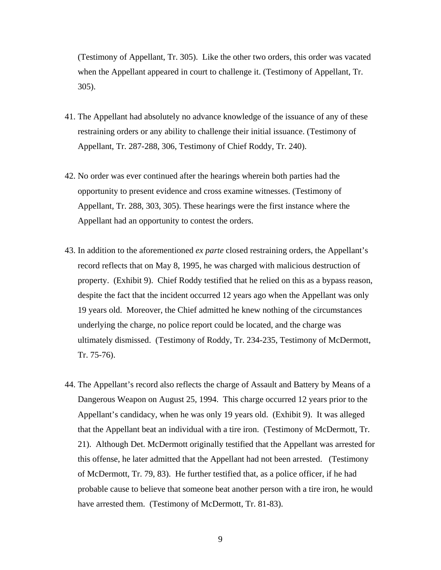(Testimony of Appellant, Tr. 305). Like the other two orders, this order was vacated when the Appellant appeared in court to challenge it. (Testimony of Appellant, Tr. 305).

- 41. The Appellant had absolutely no advance knowledge of the issuance of any of these restraining orders or any ability to challenge their initial issuance. (Testimony of Appellant, Tr. 287-288, 306, Testimony of Chief Roddy, Tr. 240).
- 42. No order was ever continued after the hearings wherein both parties had the opportunity to present evidence and cross examine witnesses. (Testimony of Appellant, Tr. 288, 303, 305). These hearings were the first instance where the Appellant had an opportunity to contest the orders.
- 43. In addition to the aforementioned *ex parte* closed restraining orders, the Appellant's record reflects that on May 8, 1995, he was charged with malicious destruction of property. (Exhibit 9). Chief Roddy testified that he relied on this as a bypass reason, despite the fact that the incident occurred 12 years ago when the Appellant was only 19 years old. Moreover, the Chief admitted he knew nothing of the circumstances underlying the charge, no police report could be located, and the charge was ultimately dismissed. (Testimony of Roddy, Tr. 234-235, Testimony of McDermott, Tr. 75-76).
- 44. The Appellant's record also reflects the charge of Assault and Battery by Means of a Dangerous Weapon on August 25, 1994. This charge occurred 12 years prior to the Appellant's candidacy, when he was only 19 years old. (Exhibit 9). It was alleged that the Appellant beat an individual with a tire iron. (Testimony of McDermott, Tr. 21). Although Det. McDermott originally testified that the Appellant was arrested for this offense, he later admitted that the Appellant had not been arrested. (Testimony of McDermott, Tr. 79, 83). He further testified that, as a police officer, if he had probable cause to believe that someone beat another person with a tire iron, he would have arrested them. (Testimony of McDermott, Tr. 81-83).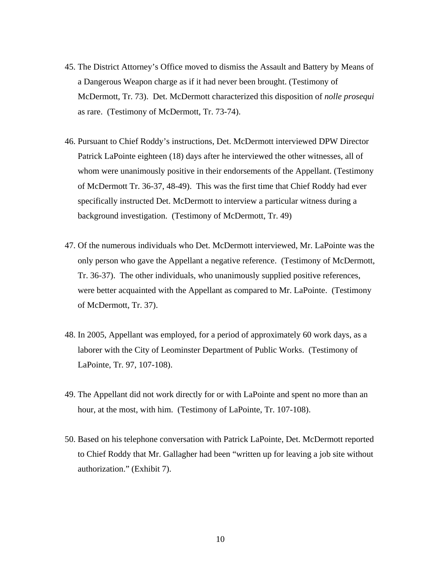- 45. The District Attorney's Office moved to dismiss the Assault and Battery by Means of a Dangerous Weapon charge as if it had never been brought. (Testimony of McDermott, Tr. 73). Det. McDermott characterized this disposition of *nolle prosequi* as rare. (Testimony of McDermott, Tr. 73-74).
- 46. Pursuant to Chief Roddy's instructions, Det. McDermott interviewed DPW Director Patrick LaPointe eighteen (18) days after he interviewed the other witnesses, all of whom were unanimously positive in their endorsements of the Appellant. (Testimony of McDermott Tr. 36-37, 48-49). This was the first time that Chief Roddy had ever specifically instructed Det. McDermott to interview a particular witness during a background investigation. (Testimony of McDermott, Tr. 49)
- 47. Of the numerous individuals who Det. McDermott interviewed, Mr. LaPointe was the only person who gave the Appellant a negative reference. (Testimony of McDermott, Tr. 36-37). The other individuals, who unanimously supplied positive references, were better acquainted with the Appellant as compared to Mr. LaPointe. (Testimony of McDermott, Tr. 37).
- 48. In 2005, Appellant was employed, for a period of approximately 60 work days, as a laborer with the City of Leominster Department of Public Works. (Testimony of LaPointe, Tr. 97, 107-108).
- 49. The Appellant did not work directly for or with LaPointe and spent no more than an hour, at the most, with him. (Testimony of LaPointe, Tr. 107-108).
- 50. Based on his telephone conversation with Patrick LaPointe, Det. McDermott reported to Chief Roddy that Mr. Gallagher had been "written up for leaving a job site without authorization." (Exhibit 7).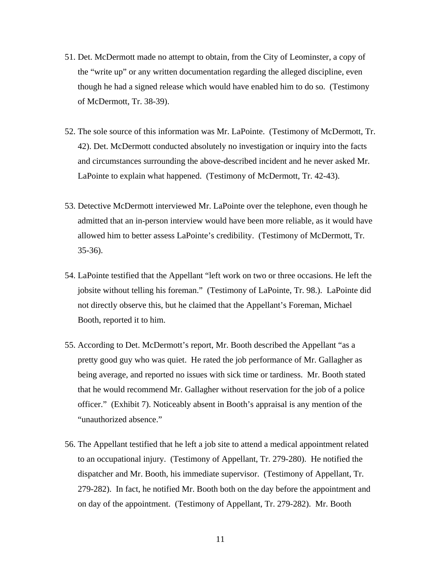- 51. Det. McDermott made no attempt to obtain, from the City of Leominster, a copy of the "write up" or any written documentation regarding the alleged discipline, even though he had a signed release which would have enabled him to do so. (Testimony of McDermott, Tr. 38-39).
- 52. The sole source of this information was Mr. LaPointe. (Testimony of McDermott, Tr. 42). Det. McDermott conducted absolutely no investigation or inquiry into the facts and circumstances surrounding the above-described incident and he never asked Mr. LaPointe to explain what happened. (Testimony of McDermott, Tr. 42-43).
- 53. Detective McDermott interviewed Mr. LaPointe over the telephone, even though he admitted that an in-person interview would have been more reliable, as it would have allowed him to better assess LaPointe's credibility. (Testimony of McDermott, Tr. 35-36).
- 54. LaPointe testified that the Appellant "left work on two or three occasions. He left the jobsite without telling his foreman." (Testimony of LaPointe, Tr. 98.). LaPointe did not directly observe this, but he claimed that the Appellant's Foreman, Michael Booth, reported it to him.
- 55. According to Det. McDermott's report, Mr. Booth described the Appellant "as a pretty good guy who was quiet. He rated the job performance of Mr. Gallagher as being average, and reported no issues with sick time or tardiness. Mr. Booth stated that he would recommend Mr. Gallagher without reservation for the job of a police officer." (Exhibit 7). Noticeably absent in Booth's appraisal is any mention of the "unauthorized absence."
- 56. The Appellant testified that he left a job site to attend a medical appointment related to an occupational injury. (Testimony of Appellant, Tr. 279-280). He notified the dispatcher and Mr. Booth, his immediate supervisor. (Testimony of Appellant, Tr. 279-282). In fact, he notified Mr. Booth both on the day before the appointment and on day of the appointment. (Testimony of Appellant, Tr. 279-282). Mr. Booth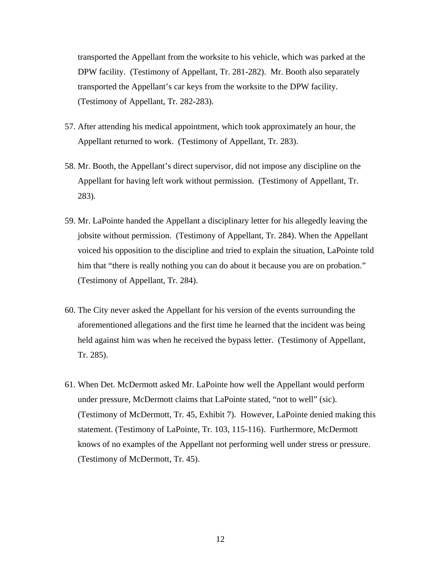transported the Appellant from the worksite to his vehicle, which was parked at the DPW facility. (Testimony of Appellant, Tr. 281-282). Mr. Booth also separately transported the Appellant's car keys from the worksite to the DPW facility. (Testimony of Appellant, Tr. 282-283).

- 57. After attending his medical appointment, which took approximately an hour, the Appellant returned to work. (Testimony of Appellant, Tr. 283).
- 58. Mr. Booth, the Appellant's direct supervisor, did not impose any discipline on the Appellant for having left work without permission. (Testimony of Appellant, Tr. 283).
- 59. Mr. LaPointe handed the Appellant a disciplinary letter for his allegedly leaving the jobsite without permission. (Testimony of Appellant, Tr. 284). When the Appellant voiced his opposition to the discipline and tried to explain the situation, LaPointe told him that "there is really nothing you can do about it because you are on probation." (Testimony of Appellant, Tr. 284).
- 60. The City never asked the Appellant for his version of the events surrounding the aforementioned allegations and the first time he learned that the incident was being held against him was when he received the bypass letter. (Testimony of Appellant, Tr. 285).
- 61. When Det. McDermott asked Mr. LaPointe how well the Appellant would perform under pressure, McDermott claims that LaPointe stated, "not to well" (sic). (Testimony of McDermott, Tr. 45, Exhibit 7). However, LaPointe denied making this statement. (Testimony of LaPointe, Tr. 103, 115-116). Furthermore, McDermott knows of no examples of the Appellant not performing well under stress or pressure. (Testimony of McDermott, Tr. 45).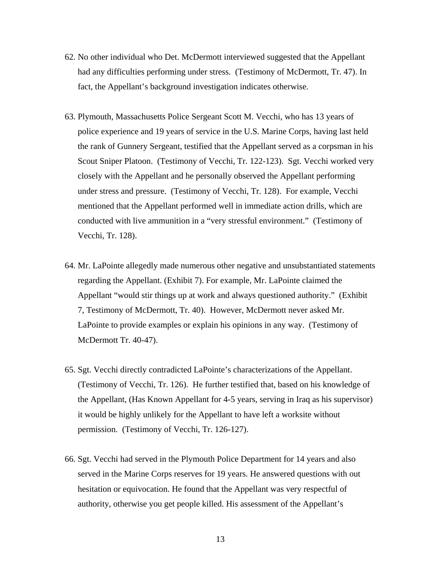- 62. No other individual who Det. McDermott interviewed suggested that the Appellant had any difficulties performing under stress. (Testimony of McDermott, Tr. 47). In fact, the Appellant's background investigation indicates otherwise.
- 63. Plymouth, Massachusetts Police Sergeant Scott M. Vecchi, who has 13 years of police experience and 19 years of service in the U.S. Marine Corps, having last held the rank of Gunnery Sergeant, testified that the Appellant served as a corpsman in his Scout Sniper Platoon. (Testimony of Vecchi, Tr. 122-123). Sgt. Vecchi worked very closely with the Appellant and he personally observed the Appellant performing under stress and pressure. (Testimony of Vecchi, Tr. 128). For example, Vecchi mentioned that the Appellant performed well in immediate action drills, which are conducted with live ammunition in a "very stressful environment." (Testimony of Vecchi, Tr. 128).
- 64. Mr. LaPointe allegedly made numerous other negative and unsubstantiated statements regarding the Appellant. (Exhibit 7). For example, Mr. LaPointe claimed the Appellant "would stir things up at work and always questioned authority." (Exhibit 7, Testimony of McDermott, Tr. 40). However, McDermott never asked Mr. LaPointe to provide examples or explain his opinions in any way. (Testimony of McDermott Tr. 40-47).
- 65. Sgt. Vecchi directly contradicted LaPointe's characterizations of the Appellant. (Testimony of Vecchi, Tr. 126). He further testified that, based on his knowledge of the Appellant, (Has Known Appellant for 4-5 years, serving in Iraq as his supervisor) it would be highly unlikely for the Appellant to have left a worksite without permission. (Testimony of Vecchi, Tr. 126-127).
- 66. Sgt. Vecchi had served in the Plymouth Police Department for 14 years and also served in the Marine Corps reserves for 19 years. He answered questions with out hesitation or equivocation. He found that the Appellant was very respectful of authority, otherwise you get people killed. His assessment of the Appellant's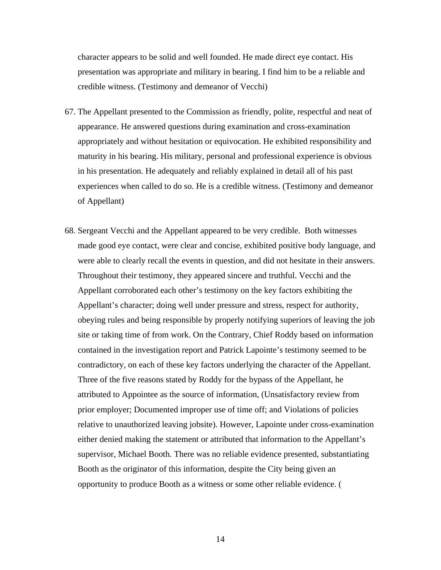character appears to be solid and well founded. He made direct eye contact. His presentation was appropriate and military in bearing. I find him to be a reliable and credible witness. (Testimony and demeanor of Vecchi)

- 67. The Appellant presented to the Commission as friendly, polite, respectful and neat of appearance. He answered questions during examination and cross-examination appropriately and without hesitation or equivocation. He exhibited responsibility and maturity in his bearing. His military, personal and professional experience is obvious in his presentation. He adequately and reliably explained in detail all of his past experiences when called to do so. He is a credible witness. (Testimony and demeanor of Appellant)
- 68. Sergeant Vecchi and the Appellant appeared to be very credible. Both witnesses made good eye contact, were clear and concise, exhibited positive body language, and were able to clearly recall the events in question, and did not hesitate in their answers. Throughout their testimony, they appeared sincere and truthful. Vecchi and the Appellant corroborated each other's testimony on the key factors exhibiting the Appellant's character; doing well under pressure and stress, respect for authority, obeying rules and being responsible by properly notifying superiors of leaving the job site or taking time of from work. On the Contrary, Chief Roddy based on information contained in the investigation report and Patrick Lapointe's testimony seemed to be contradictory, on each of these key factors underlying the character of the Appellant. Three of the five reasons stated by Roddy for the bypass of the Appellant, he attributed to Appointee as the source of information, (Unsatisfactory review from prior employer; Documented improper use of time off; and Violations of policies relative to unauthorized leaving jobsite). However, Lapointe under cross-examination either denied making the statement or attributed that information to the Appellant's supervisor, Michael Booth. There was no reliable evidence presented, substantiating Booth as the originator of this information, despite the City being given an opportunity to produce Booth as a witness or some other reliable evidence. (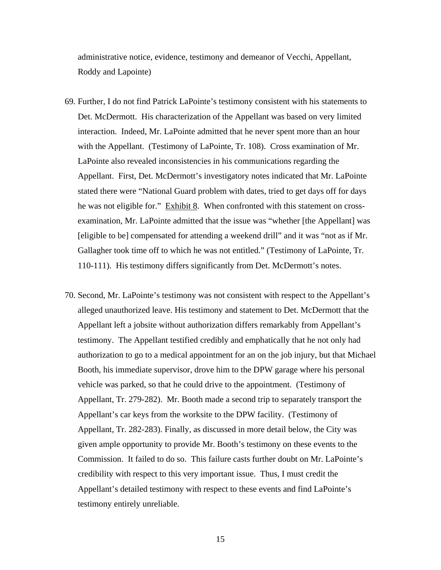administrative notice, evidence, testimony and demeanor of Vecchi, Appellant, Roddy and Lapointe)

- 69. Further, I do not find Patrick LaPointe's testimony consistent with his statements to Det. McDermott. His characterization of the Appellant was based on very limited interaction. Indeed, Mr. LaPointe admitted that he never spent more than an hour with the Appellant. (Testimony of LaPointe, Tr. 108). Cross examination of Mr. LaPointe also revealed inconsistencies in his communications regarding the Appellant. First, Det. McDermott's investigatory notes indicated that Mr. LaPointe stated there were "National Guard problem with dates, tried to get days off for days he was not eligible for." Exhibit 8. When confronted with this statement on crossexamination, Mr. LaPointe admitted that the issue was "whether [the Appellant] was [eligible to be] compensated for attending a weekend drill" and it was "not as if Mr. Gallagher took time off to which he was not entitled." (Testimony of LaPointe, Tr. 110-111). His testimony differs significantly from Det. McDermott's notes.
- 70. Second, Mr. LaPointe's testimony was not consistent with respect to the Appellant's alleged unauthorized leave. His testimony and statement to Det. McDermott that the Appellant left a jobsite without authorization differs remarkably from Appellant's testimony. The Appellant testified credibly and emphatically that he not only had authorization to go to a medical appointment for an on the job injury, but that Michael Booth, his immediate supervisor, drove him to the DPW garage where his personal vehicle was parked, so that he could drive to the appointment. (Testimony of Appellant, Tr. 279-282). Mr. Booth made a second trip to separately transport the Appellant's car keys from the worksite to the DPW facility. (Testimony of Appellant, Tr. 282-283). Finally, as discussed in more detail below, the City was given ample opportunity to provide Mr. Booth's testimony on these events to the Commission. It failed to do so. This failure casts further doubt on Mr. LaPointe's credibility with respect to this very important issue. Thus, I must credit the Appellant's detailed testimony with respect to these events and find LaPointe's testimony entirely unreliable.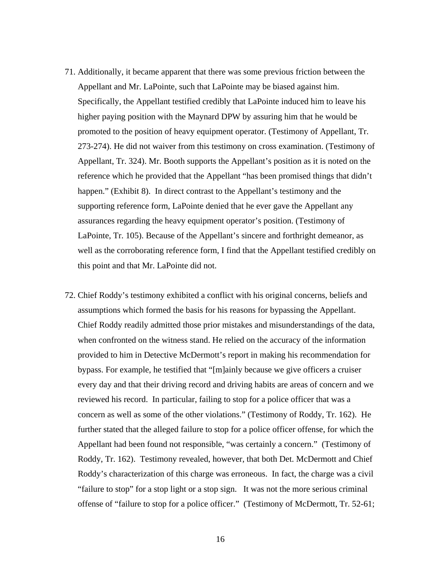- 71. Additionally, it became apparent that there was some previous friction between the Appellant and Mr. LaPointe, such that LaPointe may be biased against him. Specifically, the Appellant testified credibly that LaPointe induced him to leave his higher paying position with the Maynard DPW by assuring him that he would be promoted to the position of heavy equipment operator. (Testimony of Appellant, Tr. 273-274). He did not waiver from this testimony on cross examination. (Testimony of Appellant, Tr. 324). Mr. Booth supports the Appellant's position as it is noted on the reference which he provided that the Appellant "has been promised things that didn't happen." (Exhibit 8). In direct contrast to the Appellant's testimony and the supporting reference form, LaPointe denied that he ever gave the Appellant any assurances regarding the heavy equipment operator's position. (Testimony of LaPointe, Tr. 105). Because of the Appellant's sincere and forthright demeanor, as well as the corroborating reference form, I find that the Appellant testified credibly on this point and that Mr. LaPointe did not.
- 72. Chief Roddy's testimony exhibited a conflict with his original concerns, beliefs and assumptions which formed the basis for his reasons for bypassing the Appellant. Chief Roddy readily admitted those prior mistakes and misunderstandings of the data, when confronted on the witness stand. He relied on the accuracy of the information provided to him in Detective McDermott's report in making his recommendation for bypass. For example, he testified that "[m]ainly because we give officers a cruiser every day and that their driving record and driving habits are areas of concern and we reviewed his record. In particular, failing to stop for a police officer that was a concern as well as some of the other violations." (Testimony of Roddy, Tr. 162). He further stated that the alleged failure to stop for a police officer offense, for which the Appellant had been found not responsible, "was certainly a concern." (Testimony of Roddy, Tr. 162). Testimony revealed, however, that both Det. McDermott and Chief Roddy's characterization of this charge was erroneous. In fact, the charge was a civil "failure to stop" for a stop light or a stop sign. It was not the more serious criminal offense of "failure to stop for a police officer." (Testimony of McDermott, Tr. 52-61;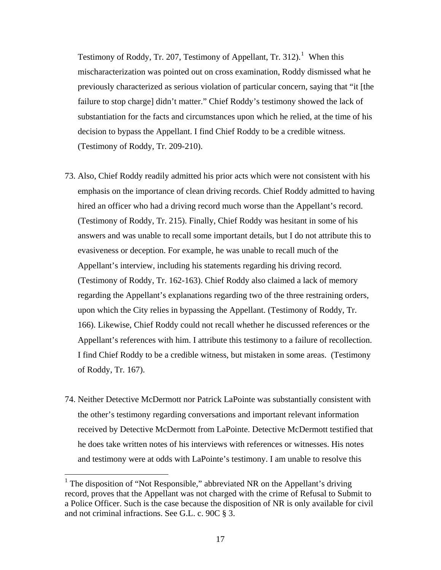Testimony of Roddy, Tr. 207, Testimony of Appellant, Tr. 312).<sup>1</sup> When this mischaracterization was pointed out on cross examination, Roddy dismissed what he previously characterized as serious violation of particular concern, saying that "it [the failure to stop charge] didn't matter." Chief Roddy's testimony showed the lack of substantiation for the facts and circumstances upon which he relied, at the time of his decision to bypass the Appellant. I find Chief Roddy to be a credible witness. (Testimony of Roddy, Tr. 209-210).

- 73. Also, Chief Roddy readily admitted his prior acts which were not consistent with his emphasis on the importance of clean driving records. Chief Roddy admitted to having hired an officer who had a driving record much worse than the Appellant's record. (Testimony of Roddy, Tr. 215). Finally, Chief Roddy was hesitant in some of his answers and was unable to recall some important details, but I do not attribute this to evasiveness or deception. For example, he was unable to recall much of the Appellant's interview, including his statements regarding his driving record. (Testimony of Roddy, Tr. 162-163). Chief Roddy also claimed a lack of memory regarding the Appellant's explanations regarding two of the three restraining orders, upon which the City relies in bypassing the Appellant. (Testimony of Roddy, Tr. 166). Likewise, Chief Roddy could not recall whether he discussed references or the Appellant's references with him. I attribute this testimony to a failure of recollection. I find Chief Roddy to be a credible witness, but mistaken in some areas. (Testimony of Roddy, Tr. 167).
- 74. Neither Detective McDermott nor Patrick LaPointe was substantially consistent with the other's testimony regarding conversations and important relevant information received by Detective McDermott from LaPointe. Detective McDermott testified that he does take written notes of his interviews with references or witnesses. His notes and testimony were at odds with LaPointe's testimony. I am unable to resolve this

<sup>&</sup>lt;sup>1</sup> The disposition of "Not Responsible," abbreviated NR on the Appellant's driving record, proves that the Appellant was not charged with the crime of Refusal to Submit to a Police Officer. Such is the case because the disposition of NR is only available for civil and not criminal infractions. See G.L. c. 90C § 3.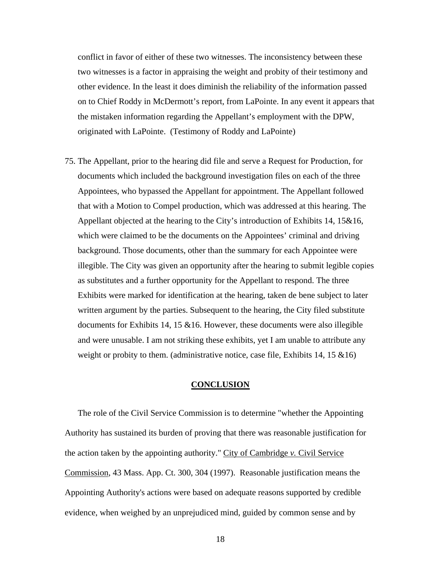conflict in favor of either of these two witnesses. The inconsistency between these two witnesses is a factor in appraising the weight and probity of their testimony and other evidence. In the least it does diminish the reliability of the information passed on to Chief Roddy in McDermott's report, from LaPointe. In any event it appears that the mistaken information regarding the Appellant's employment with the DPW, originated with LaPointe. (Testimony of Roddy and LaPointe)

75. The Appellant, prior to the hearing did file and serve a Request for Production, for documents which included the background investigation files on each of the three Appointees, who bypassed the Appellant for appointment. The Appellant followed that with a Motion to Compel production, which was addressed at this hearing. The Appellant objected at the hearing to the City's introduction of Exhibits 14, 15&16, which were claimed to be the documents on the Appointees' criminal and driving background. Those documents, other than the summary for each Appointee were illegible. The City was given an opportunity after the hearing to submit legible copies as substitutes and a further opportunity for the Appellant to respond. The three Exhibits were marked for identification at the hearing, taken de bene subject to later written argument by the parties. Subsequent to the hearing, the City filed substitute documents for Exhibits 14, 15  $&16$ . However, these documents were also illegible and were unusable. I am not striking these exhibits, yet I am unable to attribute any weight or probity to them. (administrative notice, case file, Exhibits 14, 15  $\&$ 16)

# **CONCLUSION**

The role of the Civil Service Commission is to determine "whether the Appointing Authority has sustained its burden of proving that there was reasonable justification for the action taken by the appointing authority." City of Cambridge *v.* Civil Service Commission, 43 Mass. App. Ct. 300, 304 (1997). Reasonable justification means the Appointing Authority's actions were based on adequate reasons supported by credible evidence, when weighed by an unprejudiced mind, guided by common sense and by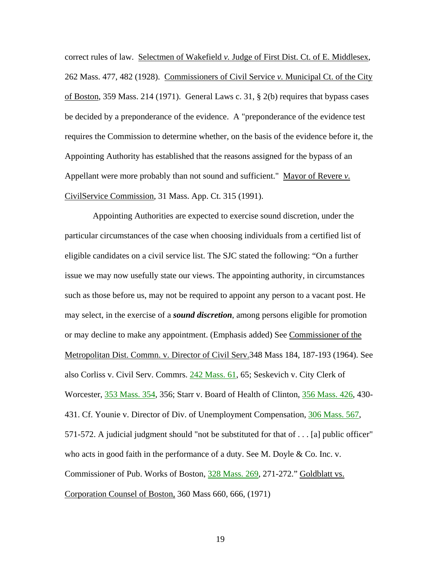correct rules of law. Selectmen of Wakefield *v.* Judge of First Dist. Ct. of E. Middlesex, 262 Mass. 477, 482 (1928). Commissioners of Civil Service *v.* Municipal Ct. of the City of Boston, 359 Mass. 214 (1971). General Laws c. 31, § 2(b) requires that bypass cases be decided by a preponderance of the evidence. A "preponderance of the evidence test requires the Commission to determine whether, on the basis of the evidence before it, the Appointing Authority has established that the reasons assigned for the bypass of an Appellant were more probably than not sound and sufficient." Mayor of Revere *v.*  CivilService Commission, 31 Mass. App. Ct. 315 (1991).

 Appointing Authorities are expected to exercise sound discretion, under the particular circumstances of the case when choosing individuals from a certified list of eligible candidates on a civil service list. The SJC stated the following: "On a further issue we may now usefully state our views. The appointing authority, in circumstances such as those before us, may not be required to appoint any person to a vacant post. He may select, in the exercise of a *sound discretion*, among persons eligible for promotion or may decline to make any appointment. (Emphasis added) See Commissioner of the Metropolitan Dist. Commn. v. Director of Civil Serv.348 Mass 184, 187-193 (1964). See also Corliss v. Civil Serv. Commrs. [242 Mass. 61](http://socialaw.gvpi.net/sll/lpext.dll/sll/sjcapp/sjcapp-1606793#sjcapp-242-32-mass-46--32-61), 65; Seskevich v. City Clerk of Worcester, [353 Mass. 354,](http://socialaw.gvpi.net/sll/lpext.dll/sll/sjcapp/sjcapp-0896575#sjcapp-353-32-mass-46--32-354) 356; Starr v. Board of Health of Clinton, [356 Mass. 426,](http://socialaw.gvpi.net/sll/lpext.dll/sll/sjcapp/sjcapp-0866555#sjcapp-356-32-mass-46--32-426) 430- 431. Cf. Younie v. Director of Div. of Unemployment Compensation, [306 Mass. 567,](http://socialaw.gvpi.net/sll/lpext.dll/sll/sjcapp/sjcapp-1312350#sjcapp-306-32-mass-46--32-567) 571-572. A judicial judgment should "not be substituted for that of . . . [a] public officer" who acts in good faith in the performance of a duty. See M. Doyle & Co. Inc. v. Commissioner of Pub. Works of Boston, [328 Mass. 269,](http://socialaw.gvpi.net/sll/lpext.dll/sll/sjcapp/sjcapp-1135130#sjcapp-328-32-mass-46--32-269) 271-272." Goldblatt vs. Corporation Counsel of Boston, 360 Mass 660, 666, (1971)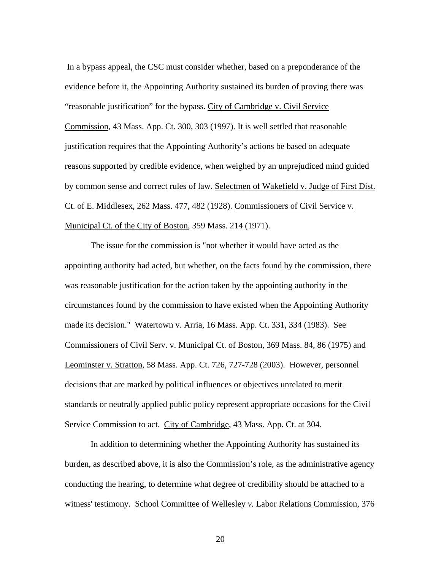In a bypass appeal, the CSC must consider whether, based on a preponderance of the evidence before it, the Appointing Authority sustained its burden of proving there was "reasonable justification" for the bypass. City of Cambridge v. Civil Service Commission, 43 Mass. App. Ct. 300, 303 (1997). It is well settled that reasonable justification requires that the Appointing Authority's actions be based on adequate reasons supported by credible evidence, when weighed by an unprejudiced mind guided by common sense and correct rules of law. Selectmen of Wakefield v. Judge of First Dist. Ct. of E. Middlesex, 262 Mass. 477, 482 (1928). Commissioners of Civil Service v. Municipal Ct. of the City of Boston, 359 Mass. 214 (1971).

The issue for the commission is "not whether it would have acted as the appointing authority had acted, but whether, on the facts found by the commission, there was reasonable justification for the action taken by the appointing authority in the circumstances found by the commission to have existed when the Appointing Authority made its decision." Watertown v. Arria, 16 Mass. App. Ct. 331, 334 (1983). See Commissioners of Civil Serv. v. Municipal Ct. of Boston, 369 Mass. 84, 86 (1975) and Leominster v. Stratton, 58 Mass. App. Ct. 726, 727-728 (2003). However, personnel decisions that are marked by political influences or objectives unrelated to merit standards or neutrally applied public policy represent appropriate occasions for the Civil Service Commission to act. City of Cambridge, 43 Mass. App. Ct. at 304.

In addition to determining whether the Appointing Authority has sustained its burden, as described above, it is also the Commission's role, as the administrative agency conducting the hearing, to determine what degree of credibility should be attached to a witness' testimony. School Committee of Wellesley *v.* Labor Relations Commission*,* 376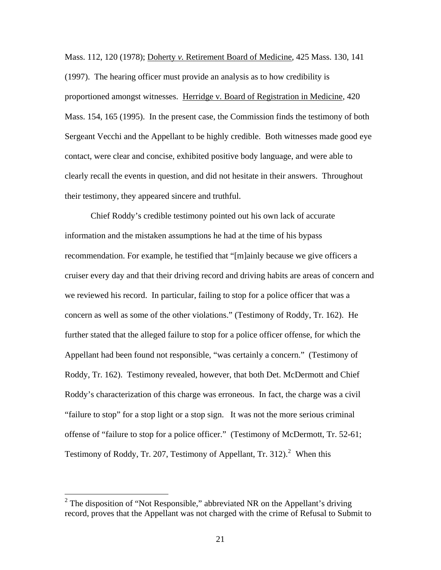Mass. 112, 120 (1978); Doherty *v.* Retirement Board of Medicine*,* 425 Mass. 130, 141 (1997). The hearing officer must provide an analysis as to how credibility is proportioned amongst witnesses. Herridge v*.* Board of Registration in Medicine*,* 420 Mass. 154, 165 (1995). In the present case, the Commission finds the testimony of both Sergeant Vecchi and the Appellant to be highly credible. Both witnesses made good eye contact, were clear and concise, exhibited positive body language, and were able to clearly recall the events in question, and did not hesitate in their answers. Throughout their testimony, they appeared sincere and truthful.

Chief Roddy's credible testimony pointed out his own lack of accurate information and the mistaken assumptions he had at the time of his bypass recommendation. For example, he testified that "[m]ainly because we give officers a cruiser every day and that their driving record and driving habits are areas of concern and we reviewed his record. In particular, failing to stop for a police officer that was a concern as well as some of the other violations." (Testimony of Roddy, Tr. 162). He further stated that the alleged failure to stop for a police officer offense, for which the Appellant had been found not responsible, "was certainly a concern." (Testimony of Roddy, Tr. 162). Testimony revealed, however, that both Det. McDermott and Chief Roddy's characterization of this charge was erroneous. In fact, the charge was a civil "failure to stop" for a stop light or a stop sign. It was not the more serious criminal offense of "failure to stop for a police officer." (Testimony of McDermott, Tr. 52-61; Testimony of Roddy, Tr. [2](#page-20-0)07, Testimony of Appellant, Tr. 312).<sup>2</sup> When this

 $\overline{a}$ 

<span id="page-20-0"></span><sup>&</sup>lt;sup>2</sup> The disposition of "Not Responsible," abbreviated NR on the Appellant's driving record, proves that the Appellant was not charged with the crime of Refusal to Submit to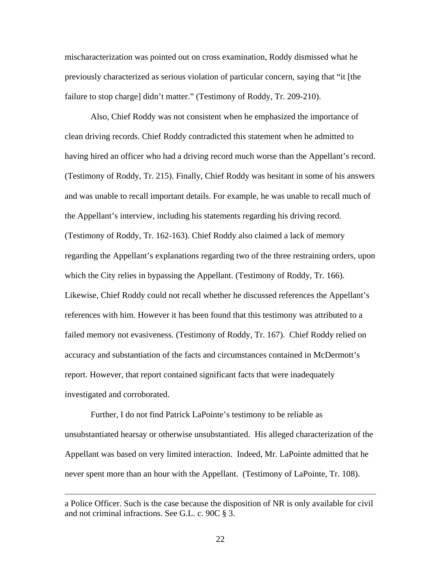mischaracterization was pointed out on cross examination, Roddy dismissed what he previously characterized as serious violation of particular concern, saying that "it [the failure to stop charge] didn't matter." (Testimony of Roddy, Tr. 209-210).

Also, Chief Roddy was not consistent when he emphasized the importance of clean driving records. Chief Roddy contradicted this statement when he admitted to having hired an officer who had a driving record much worse than the Appellant's record. (Testimony of Roddy, Tr. 215). Finally, Chief Roddy was hesitant in some of his answers and was unable to recall important details. For example, he was unable to recall much of the Appellant's interview, including his statements regarding his driving record. (Testimony of Roddy, Tr. 162-163). Chief Roddy also claimed a lack of memory regarding the Appellant's explanations regarding two of the three restraining orders, upon which the City relies in bypassing the Appellant. (Testimony of Roddy, Tr. 166). Likewise, Chief Roddy could not recall whether he discussed references the Appellant's references with him. However it has been found that this testimony was attributed to a failed memory not evasiveness. (Testimony of Roddy, Tr. 167). Chief Roddy relied on accuracy and substantiation of the facts and circumstances contained in McDermott's report. However, that report contained significant facts that were inadequately investigated and corroborated.

Further, I do not find Patrick LaPointe's testimony to be reliable as unsubstantiated hearsay or otherwise unsubstantiated. His alleged characterization of the Appellant was based on very limited interaction. Indeed, Mr. LaPointe admitted that he never spent more than an hour with the Appellant. (Testimony of LaPointe, Tr. 108).

 $\overline{a}$ 

a Police Officer. Such is the case because the disposition of NR is only available for civil and not criminal infractions. See G.L. c. 90C § 3.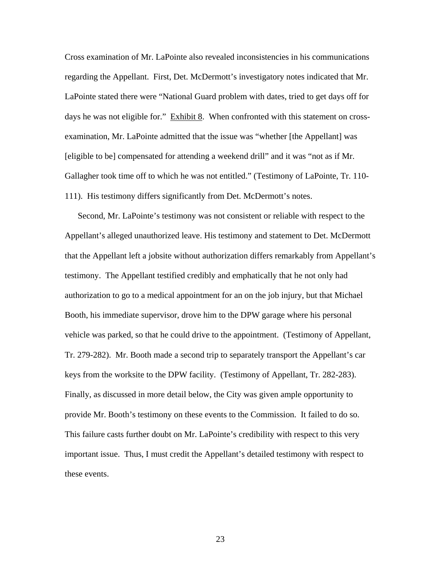Cross examination of Mr. LaPointe also revealed inconsistencies in his communications regarding the Appellant. First, Det. McDermott's investigatory notes indicated that Mr. LaPointe stated there were "National Guard problem with dates, tried to get days off for days he was not eligible for." Exhibit 8. When confronted with this statement on crossexamination, Mr. LaPointe admitted that the issue was "whether [the Appellant] was [eligible to be] compensated for attending a weekend drill" and it was "not as if Mr. Gallagher took time off to which he was not entitled." (Testimony of LaPointe, Tr. 110- 111). His testimony differs significantly from Det. McDermott's notes.

Second, Mr. LaPointe's testimony was not consistent or reliable with respect to the Appellant's alleged unauthorized leave. His testimony and statement to Det. McDermott that the Appellant left a jobsite without authorization differs remarkably from Appellant's testimony. The Appellant testified credibly and emphatically that he not only had authorization to go to a medical appointment for an on the job injury, but that Michael Booth, his immediate supervisor, drove him to the DPW garage where his personal vehicle was parked, so that he could drive to the appointment. (Testimony of Appellant, Tr. 279-282). Mr. Booth made a second trip to separately transport the Appellant's car keys from the worksite to the DPW facility. (Testimony of Appellant, Tr. 282-283). Finally, as discussed in more detail below, the City was given ample opportunity to provide Mr. Booth's testimony on these events to the Commission. It failed to do so. This failure casts further doubt on Mr. LaPointe's credibility with respect to this very important issue. Thus, I must credit the Appellant's detailed testimony with respect to these events.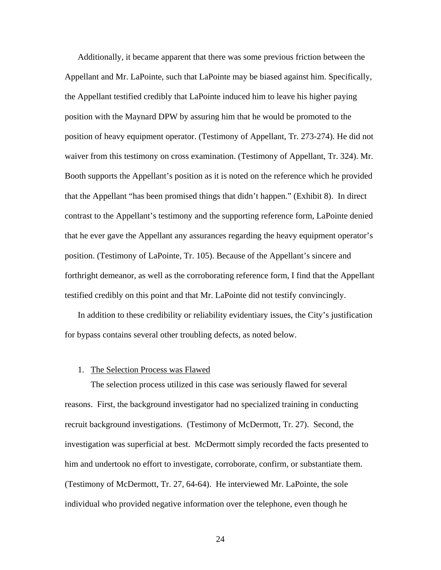Additionally, it became apparent that there was some previous friction between the Appellant and Mr. LaPointe, such that LaPointe may be biased against him. Specifically, the Appellant testified credibly that LaPointe induced him to leave his higher paying position with the Maynard DPW by assuring him that he would be promoted to the position of heavy equipment operator. (Testimony of Appellant, Tr. 273-274). He did not waiver from this testimony on cross examination. (Testimony of Appellant, Tr. 324). Mr. Booth supports the Appellant's position as it is noted on the reference which he provided that the Appellant "has been promised things that didn't happen." (Exhibit 8). In direct contrast to the Appellant's testimony and the supporting reference form, LaPointe denied that he ever gave the Appellant any assurances regarding the heavy equipment operator's position. (Testimony of LaPointe, Tr. 105). Because of the Appellant's sincere and forthright demeanor, as well as the corroborating reference form, I find that the Appellant testified credibly on this point and that Mr. LaPointe did not testify convincingly.

In addition to these credibility or reliability evidentiary issues, the City's justification for bypass contains several other troubling defects, as noted below.

## 1. The Selection Process was Flawed

The selection process utilized in this case was seriously flawed for several reasons. First, the background investigator had no specialized training in conducting recruit background investigations. (Testimony of McDermott, Tr. 27). Second, the investigation was superficial at best. McDermott simply recorded the facts presented to him and undertook no effort to investigate, corroborate, confirm, or substantiate them. (Testimony of McDermott, Tr. 27, 64-64). He interviewed Mr. LaPointe, the sole individual who provided negative information over the telephone, even though he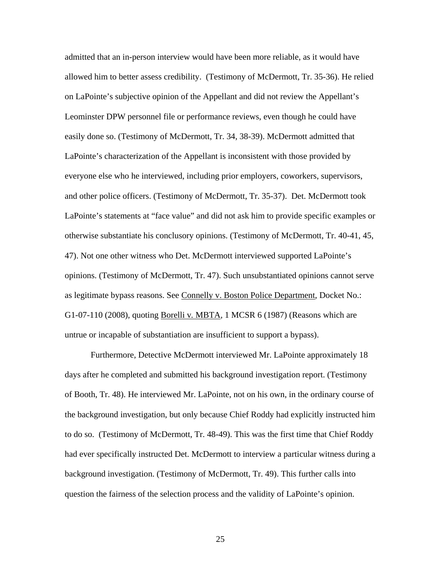admitted that an in-person interview would have been more reliable, as it would have allowed him to better assess credibility. (Testimony of McDermott, Tr. 35-36). He relied on LaPointe's subjective opinion of the Appellant and did not review the Appellant's Leominster DPW personnel file or performance reviews, even though he could have easily done so. (Testimony of McDermott, Tr. 34, 38-39). McDermott admitted that LaPointe's characterization of the Appellant is inconsistent with those provided by everyone else who he interviewed, including prior employers, coworkers, supervisors, and other police officers. (Testimony of McDermott, Tr. 35-37). Det. McDermott took LaPointe's statements at "face value" and did not ask him to provide specific examples or otherwise substantiate his conclusory opinions. (Testimony of McDermott, Tr. 40-41, 45, 47). Not one other witness who Det. McDermott interviewed supported LaPointe's opinions. (Testimony of McDermott, Tr. 47). Such unsubstantiated opinions cannot serve as legitimate bypass reasons. See Connelly v. Boston Police Department, Docket No.: G1-07-110 (2008), quoting Borelli v*.* MBTA*,* 1 MCSR 6 (1987) (Reasons which are untrue or incapable of substantiation are insufficient to support a bypass).

Furthermore, Detective McDermott interviewed Mr. LaPointe approximately 18 days after he completed and submitted his background investigation report. (Testimony of Booth, Tr. 48). He interviewed Mr. LaPointe, not on his own, in the ordinary course of the background investigation, but only because Chief Roddy had explicitly instructed him to do so. (Testimony of McDermott, Tr. 48-49). This was the first time that Chief Roddy had ever specifically instructed Det. McDermott to interview a particular witness during a background investigation. (Testimony of McDermott, Tr. 49). This further calls into question the fairness of the selection process and the validity of LaPointe's opinion.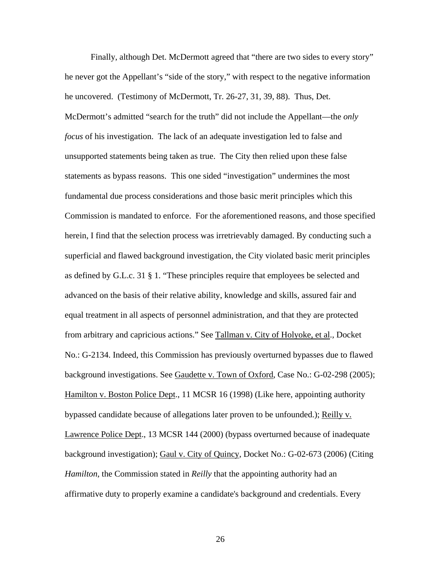Finally, although Det. McDermott agreed that "there are two sides to every story" he never got the Appellant's "side of the story," with respect to the negative information he uncovered. (Testimony of McDermott, Tr. 26-27, 31, 39, 88). Thus, Det. McDermott's admitted "search for the truth" did not include the Appellant—the *only focus* of his investigation. The lack of an adequate investigation led to false and unsupported statements being taken as true. The City then relied upon these false statements as bypass reasons. This one sided "investigation" undermines the most fundamental due process considerations and those basic merit principles which this Commission is mandated to enforce. For the aforementioned reasons, and those specified herein, I find that the selection process was irretrievably damaged. By conducting such a superficial and flawed background investigation, the City violated basic merit principles as defined by G.L.c. 31 § 1. "These principles require that employees be selected and advanced on the basis of their relative ability, knowledge and skills, assured fair and equal treatment in all aspects of personnel administration, and that they are protected from arbitrary and capricious actions." See Tallman v*.* City of Holyoke, et al.*,* Docket No.: G-2134. Indeed, this Commission has previously overturned bypasses due to flawed background investigations. See Gaudette v. Town of Oxford, Case No.: G-02-298 (2005); Hamilton v. Boston Police Dept., 11 MCSR 16 (1998) (Like here, appointing authority bypassed candidate because of allegations later proven to be unfounded.); Reilly v. Lawrence Police Dept., 13 MCSR 144 (2000) (bypass overturned because of inadequate background investigation); Gaul v. City of Quincy, Docket No.: G-02-673 (2006) (Citing *Hamilton*, the Commission stated in *Reilly* that the appointing authority had an affirmative duty to properly examine a candidate's background and credentials. Every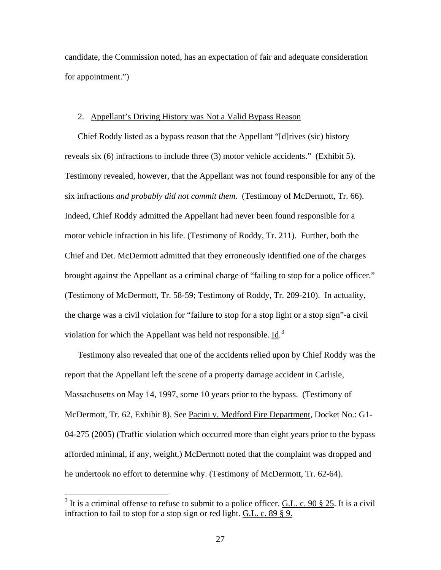candidate, the Commission noted, has an expectation of fair and adequate consideration for appointment.")

### 2. Appellant's Driving History was Not a Valid Bypass Reason

Chief Roddy listed as a bypass reason that the Appellant "[d]rives (sic) history reveals six (6) infractions to include three (3) motor vehicle accidents." (Exhibit 5). Testimony revealed, however, that the Appellant was not found responsible for any of the six infractions *and probably did not commit them.* (Testimony of McDermott, Tr. 66). Indeed, Chief Roddy admitted the Appellant had never been found responsible for a motor vehicle infraction in his life. (Testimony of Roddy, Tr. 211). Further, both the Chief and Det. McDermott admitted that they erroneously identified one of the charges brought against the Appellant as a criminal charge of "failing to stop for a police officer." (Testimony of McDermott, Tr. 58-59; Testimony of Roddy, Tr. 209-210). In actuality, the charge was a civil violation for "failure to stop for a stop light or a stop sign"-a civil violation for which the Appellant was held not responsible.  $\underline{Id}^{3}$  $\underline{Id}^{3}$  $\underline{Id}^{3}$ .

Testimony also revealed that one of the accidents relied upon by Chief Roddy was the report that the Appellant left the scene of a property damage accident in Carlisle, Massachusetts on May 14, 1997, some 10 years prior to the bypass. (Testimony of McDermott, Tr. 62, Exhibit 8). See Pacini v. Medford Fire Department, Docket No.: G1-04-275 (2005) (Traffic violation which occurred more than eight years prior to the bypass afforded minimal, if any, weight.) McDermott noted that the complaint was dropped and he undertook no effort to determine why. (Testimony of McDermott, Tr. 62-64).

 $\overline{a}$ 

<span id="page-26-0"></span><sup>&</sup>lt;sup>3</sup> It is a criminal offense to refuse to submit to a police officer. <u>G.L. c. 90 § 25</u>. It is a civil infraction to fail to stop for a stop sign or red light. G.L. c. 89 § 9.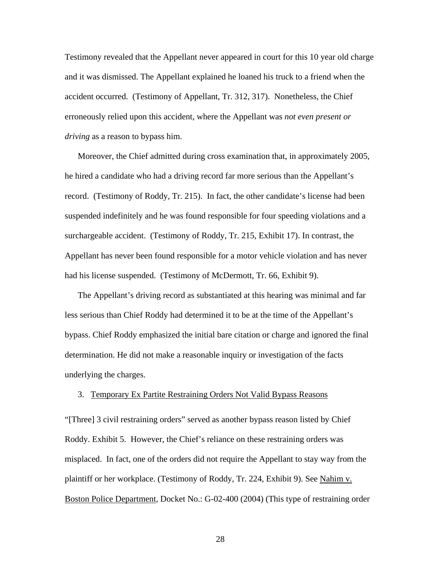Testimony revealed that the Appellant never appeared in court for this 10 year old charge and it was dismissed. The Appellant explained he loaned his truck to a friend when the accident occurred. (Testimony of Appellant, Tr. 312, 317). Nonetheless, the Chief erroneously relied upon this accident, where the Appellant was *not even present or driving* as a reason to bypass him.

Moreover, the Chief admitted during cross examination that, in approximately 2005, he hired a candidate who had a driving record far more serious than the Appellant's record. (Testimony of Roddy, Tr. 215). In fact, the other candidate's license had been suspended indefinitely and he was found responsible for four speeding violations and a surchargeable accident. (Testimony of Roddy, Tr. 215, Exhibit 17). In contrast, the Appellant has never been found responsible for a motor vehicle violation and has never had his license suspended. (Testimony of McDermott, Tr. 66, Exhibit 9).

The Appellant's driving record as substantiated at this hearing was minimal and far less serious than Chief Roddy had determined it to be at the time of the Appellant's bypass. Chief Roddy emphasized the initial bare citation or charge and ignored the final determination. He did not make a reasonable inquiry or investigation of the facts underlying the charges.

## 3. Temporary Ex Partite Restraining Orders Not Valid Bypass Reasons

"[Three] 3 civil restraining orders" served as another bypass reason listed by Chief Roddy. Exhibit 5. However, the Chief's reliance on these restraining orders was misplaced. In fact, one of the orders did not require the Appellant to stay way from the plaintiff or her workplace. (Testimony of Roddy, Tr. 224, Exhibit 9). See Nahim v. Boston Police Department, Docket No.: G-02-400 (2004) (This type of restraining order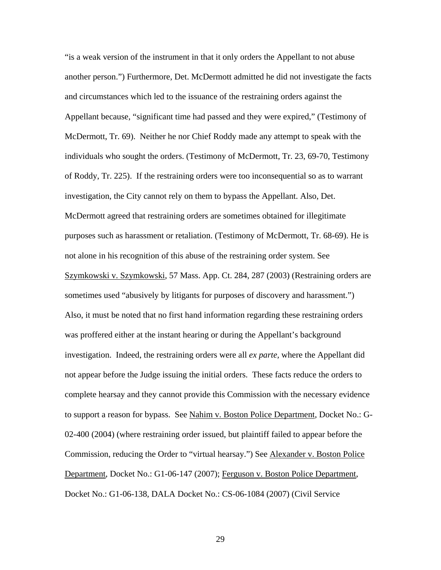"is a weak version of the instrument in that it only orders the Appellant to not abuse another person.") Furthermore, Det. McDermott admitted he did not investigate the facts and circumstances which led to the issuance of the restraining orders against the Appellant because, "significant time had passed and they were expired," (Testimony of McDermott, Tr. 69). Neither he nor Chief Roddy made any attempt to speak with the individuals who sought the orders. (Testimony of McDermott, Tr. 23, 69-70, Testimony of Roddy, Tr. 225). If the restraining orders were too inconsequential so as to warrant investigation, the City cannot rely on them to bypass the Appellant. Also, Det. McDermott agreed that restraining orders are sometimes obtained for illegitimate purposes such as harassment or retaliation. (Testimony of McDermott, Tr. 68-69). He is not alone in his recognition of this abuse of the restraining order system. See Szymkowski v. Szymkowski, 57 Mass. App. Ct. 284, 287 (2003) (Restraining orders are sometimes used "abusively by litigants for purposes of discovery and harassment.") Also, it must be noted that no first hand information regarding these restraining orders was proffered either at the instant hearing or during the Appellant's background investigation. Indeed, the restraining orders were all *ex parte,* where the Appellant did not appear before the Judge issuing the initial orders. These facts reduce the orders to complete hearsay and they cannot provide this Commission with the necessary evidence to support a reason for bypass. See Nahim v. Boston Police Department, Docket No.: G-02-400 (2004) (where restraining order issued, but plaintiff failed to appear before the Commission, reducing the Order to "virtual hearsay.") See Alexander v. Boston Police Department, Docket No.: G1-06-147 (2007); Ferguson v. Boston Police Department, Docket No.: G1-06-138, DALA Docket No.: CS-06-1084 (2007) (Civil Service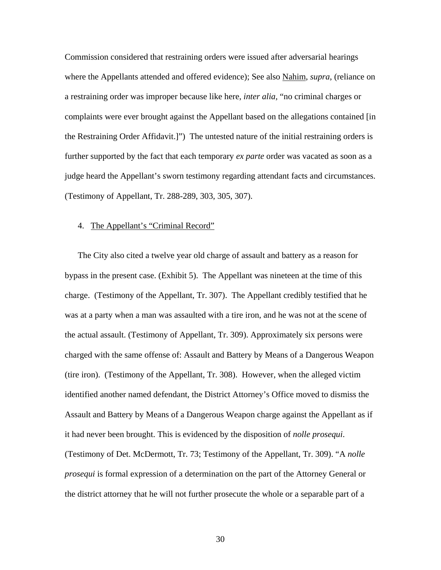Commission considered that restraining orders were issued after adversarial hearings where the Appellants attended and offered evidence); See also Nahim, *supra*, (reliance on a restraining order was improper because like here, *inter alia,* "no criminal charges or complaints were ever brought against the Appellant based on the allegations contained [in the Restraining Order Affidavit.]") The untested nature of the initial restraining orders is further supported by the fact that each temporary *ex parte* order was vacated as soon as a judge heard the Appellant's sworn testimony regarding attendant facts and circumstances. (Testimony of Appellant, Tr. 288-289, 303, 305, 307).

### 4. The Appellant's "Criminal Record"

The City also cited a twelve year old charge of assault and battery as a reason for bypass in the present case. (Exhibit 5). The Appellant was nineteen at the time of this charge. (Testimony of the Appellant, Tr. 307). The Appellant credibly testified that he was at a party when a man was assaulted with a tire iron, and he was not at the scene of the actual assault. (Testimony of Appellant, Tr. 309). Approximately six persons were charged with the same offense of: Assault and Battery by Means of a Dangerous Weapon (tire iron). (Testimony of the Appellant, Tr. 308). However, when the alleged victim identified another named defendant, the District Attorney's Office moved to dismiss the Assault and Battery by Means of a Dangerous Weapon charge against the Appellant as if it had never been brought. This is evidenced by the disposition of *nolle prosequi*. (Testimony of Det. McDermott, Tr. 73; Testimony of the Appellant, Tr. 309). "A *nolle prosequi* is formal expression of a determination on the part of the Attorney General or the district attorney that he will not further prosecute the whole or a separable part of a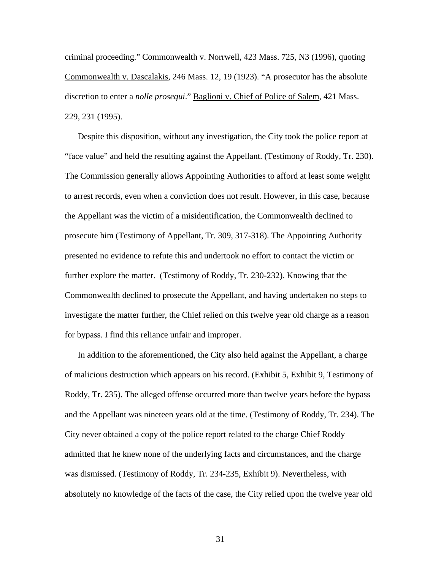criminal proceeding." Commonwealth v. Norrwell, 423 Mass. 725, N3 (1996), quoting Commonwealth v. Dascalakis, 246 Mass. 12, 19 (1923). "A prosecutor has the absolute discretion to enter a *nolle prosequi*." Baglioni v. Chief of Police of Salem, 421 Mass. 229, 231 (1995).

Despite this disposition, without any investigation, the City took the police report at "face value" and held the resulting against the Appellant. (Testimony of Roddy, Tr. 230). The Commission generally allows Appointing Authorities to afford at least some weight to arrest records, even when a conviction does not result. However, in this case, because the Appellant was the victim of a misidentification, the Commonwealth declined to prosecute him (Testimony of Appellant, Tr. 309, 317-318). The Appointing Authority presented no evidence to refute this and undertook no effort to contact the victim or further explore the matter. (Testimony of Roddy, Tr. 230-232). Knowing that the Commonwealth declined to prosecute the Appellant, and having undertaken no steps to investigate the matter further, the Chief relied on this twelve year old charge as a reason for bypass. I find this reliance unfair and improper.

In addition to the aforementioned, the City also held against the Appellant, a charge of malicious destruction which appears on his record. (Exhibit 5, Exhibit 9, Testimony of Roddy, Tr. 235). The alleged offense occurred more than twelve years before the bypass and the Appellant was nineteen years old at the time. (Testimony of Roddy, Tr. 234). The City never obtained a copy of the police report related to the charge Chief Roddy admitted that he knew none of the underlying facts and circumstances, and the charge was dismissed. (Testimony of Roddy, Tr. 234-235, Exhibit 9). Nevertheless, with absolutely no knowledge of the facts of the case, the City relied upon the twelve year old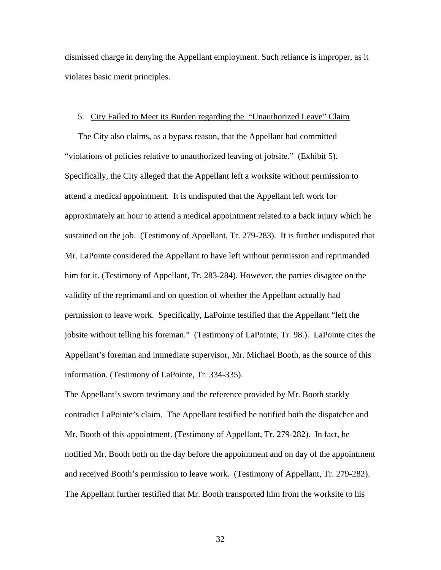dismissed charge in denying the Appellant employment. Such reliance is improper, as it violates basic merit principles.

### 5. City Failed to Meet its Burden regarding the "Unauthorized Leave" Claim

The City also claims, as a bypass reason, that the Appellant had committed "violations of policies relative to unauthorized leaving of jobsite." (Exhibit 5). Specifically, the City alleged that the Appellant left a worksite without permission to attend a medical appointment. It is undisputed that the Appellant left work for approximately an hour to attend a medical appointment related to a back injury which he sustained on the job. (Testimony of Appellant, Tr. 279-283). It is further undisputed that Mr. LaPointe considered the Appellant to have left without permission and reprimanded him for it. (Testimony of Appellant, Tr. 283-284). However, the parties disagree on the validity of the reprimand and on question of whether the Appellant actually had permission to leave work. Specifically, LaPointe testified that the Appellant "left the jobsite without telling his foreman." (Testimony of LaPointe, Tr. 98.). LaPointe cites the Appellant's foreman and immediate supervisor, Mr. Michael Booth, as the source of this information. (Testimony of LaPointe, Tr. 334-335).

The Appellant's sworn testimony and the reference provided by Mr. Booth starkly contradict LaPointe's claim. The Appellant testified he notified both the dispatcher and Mr. Booth of this appointment. (Testimony of Appellant, Tr. 279-282). In fact, he notified Mr. Booth both on the day before the appointment and on day of the appointment and received Booth's permission to leave work. (Testimony of Appellant, Tr. 279-282). The Appellant further testified that Mr. Booth transported him from the worksite to his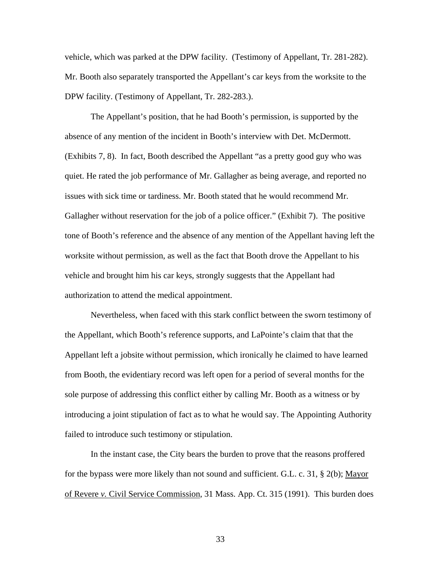vehicle, which was parked at the DPW facility. (Testimony of Appellant, Tr. 281-282). Mr. Booth also separately transported the Appellant's car keys from the worksite to the DPW facility. (Testimony of Appellant, Tr. 282-283.).

The Appellant's position, that he had Booth's permission, is supported by the absence of any mention of the incident in Booth's interview with Det. McDermott. (Exhibits 7, 8). In fact, Booth described the Appellant "as a pretty good guy who was quiet. He rated the job performance of Mr. Gallagher as being average, and reported no issues with sick time or tardiness. Mr. Booth stated that he would recommend Mr. Gallagher without reservation for the job of a police officer." (Exhibit 7). The positive tone of Booth's reference and the absence of any mention of the Appellant having left the worksite without permission, as well as the fact that Booth drove the Appellant to his vehicle and brought him his car keys, strongly suggests that the Appellant had authorization to attend the medical appointment.

Nevertheless, when faced with this stark conflict between the sworn testimony of the Appellant, which Booth's reference supports, and LaPointe's claim that that the Appellant left a jobsite without permission, which ironically he claimed to have learned from Booth, the evidentiary record was left open for a period of several months for the sole purpose of addressing this conflict either by calling Mr. Booth as a witness or by introducing a joint stipulation of fact as to what he would say. The Appointing Authority failed to introduce such testimony or stipulation.

In the instant case, the City bears the burden to prove that the reasons proffered for the bypass were more likely than not sound and sufficient. G.L. c. 31, § 2(b); Mayor of Revere *v.* Civil Service Commission, 31 Mass. App. Ct. 315 (1991). This burden does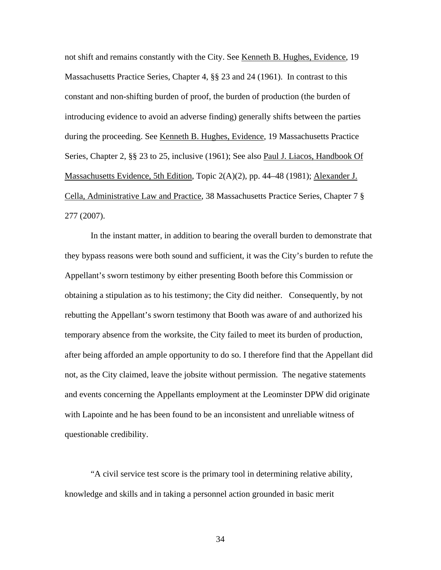not shift and remains constantly with the City. See Kenneth B. Hughes, Evidence, 19 Massachusetts Practice Series, Chapter 4, §§ 23 and 24 (1961). In contrast to this constant and non-shifting burden of proof, the burden of production (the burden of introducing evidence to avoid an adverse finding) generally shifts between the parties during the proceeding. See Kenneth B. Hughes, Evidence, 19 Massachusetts Practice Series, Chapter 2, §§ 23 to 25, inclusive (1961); See also Paul J. Liacos, Handbook Of Massachusetts Evidence, 5th Edition, Topic 2(A)(2), pp. 44–48 (1981); Alexander J. Cella, Administrative Law and Practice, 38 Massachusetts Practice Series, Chapter 7 § 277 (2007).

In the instant matter, in addition to bearing the overall burden to demonstrate that they bypass reasons were both sound and sufficient, it was the City's burden to refute the Appellant's sworn testimony by either presenting Booth before this Commission or obtaining a stipulation as to his testimony; the City did neither. Consequently, by not rebutting the Appellant's sworn testimony that Booth was aware of and authorized his temporary absence from the worksite, the City failed to meet its burden of production, after being afforded an ample opportunity to do so. I therefore find that the Appellant did not, as the City claimed, leave the jobsite without permission. The negative statements and events concerning the Appellants employment at the Leominster DPW did originate with Lapointe and he has been found to be an inconsistent and unreliable witness of questionable credibility.

"A civil service test score is the primary tool in determining relative ability, knowledge and skills and in taking a personnel action grounded in basic merit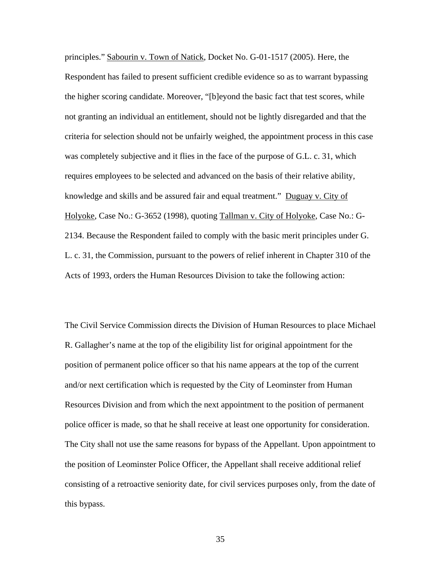principles." Sabourin v. Town of Natick, Docket No. G-01-1517 (2005). Here, the Respondent has failed to present sufficient credible evidence so as to warrant bypassing the higher scoring candidate. Moreover, "[b]eyond the basic fact that test scores, while not granting an individual an entitlement, should not be lightly disregarded and that the criteria for selection should not be unfairly weighed, the appointment process in this case was completely subjective and it flies in the face of the purpose of G.L. c. 31, which requires employees to be selected and advanced on the basis of their relative ability, knowledge and skills and be assured fair and equal treatment." Duguay v. City of Holyoke, Case No.: G-3652 (1998), quoting Tallman v. City of Holyoke, Case No.: G-2134. Because the Respondent failed to comply with the basic merit principles under G. L. c. 31, the Commission, pursuant to the powers of relief inherent in Chapter 310 of the Acts of 1993, orders the Human Resources Division to take the following action:

The Civil Service Commission directs the Division of Human Resources to place Michael R. Gallagher's name at the top of the eligibility list for original appointment for the position of permanent police officer so that his name appears at the top of the current and/or next certification which is requested by the City of Leominster from Human Resources Division and from which the next appointment to the position of permanent police officer is made, so that he shall receive at least one opportunity for consideration. The City shall not use the same reasons for bypass of the Appellant. Upon appointment to the position of Leominster Police Officer, the Appellant shall receive additional relief consisting of a retroactive seniority date, for civil services purposes only, from the date of this bypass.